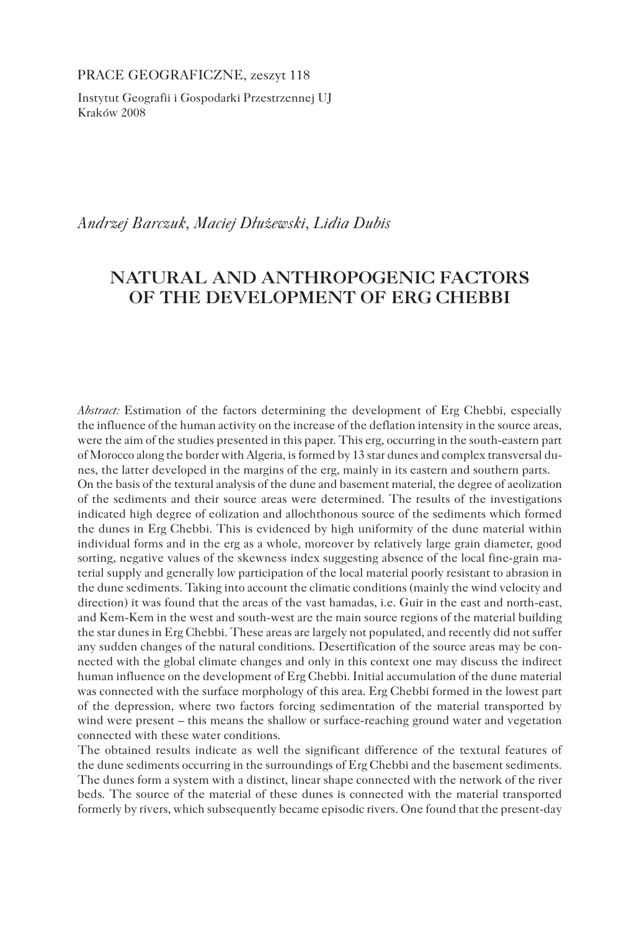PRACE GEOGRAFICZNE, zeszyt 118

Instytut Geografii i Gospodarki Przestrzennej UJ Kraków 2008

*Andrzej Barczuk, Maciej Dłużewski, Lidia Dubis*

# **NATURAL AND ANTHROPOGENIC FACTORS OF THE DEVELOPMENT OF ERG CHEBBI**

*Abstract:* Estimation of the factors determining the development of Erg Chebbi, especially the influence of the human activity on the increase of the deflation intensity in the source areas, were the aim of the studies presented in this paper. This erg, occurring in the south-eastern part of Morocco along the border with Algeria, is formed by 13 star dunes and complex transversal dunes, the latter developed in the margins of the erg, mainly in its eastern and southern parts. On the basis of the textural analysis of the dune and basement material, the degree of aeolization of the sediments and their source areas were determined. The results of the investigations indicated high degree of eolization and allochthonous source of the sediments which formed the dunes in Erg Chebbi. This is evidenced by high uniformity of the dune material within individual forms and in the erg as a whole, moreover by relatively large grain diameter, good sorting, negative values of the skewness index suggesting absence of the local fine-grain material supply and generally low participation of the local material poorly resistant to abrasion in the dune sediments. Taking into account the climatic conditions (mainly the wind velocity and direction) it was found that the areas of the vast hamadas, i.e. Guir in the east and north-east, and Kem-Kem in the west and south-west are the main source regions of the material building the star dunes in Erg Chebbi. These areas are largely not populated, and recently did not suffer any sudden changes of the natural conditions. Desertification of the source areas may be connected with the global climate changes and only in this context one may discuss the indirect human influence on the development of Erg Chebbi. Initial accumulation of the dune material was connected with the surface morphology of this area. Erg Chebbi formed in the lowest part of the depression, where two factors forcing sedimentation of the material transported by wind were present – this means the shallow or surface-reaching ground water and vegetation connected with these water conditions.

The obtained results indicate as well the significant difference of the textural features of the dune sediments occurring in the surroundings of Erg Chebbi and the basement sediments. The dunes form a system with a distinct, linear shape connected with the network of the river beds. The source of the material of these dunes is connected with the material transported formerly by rivers, which subsequently became episodic rivers. One found that the present-day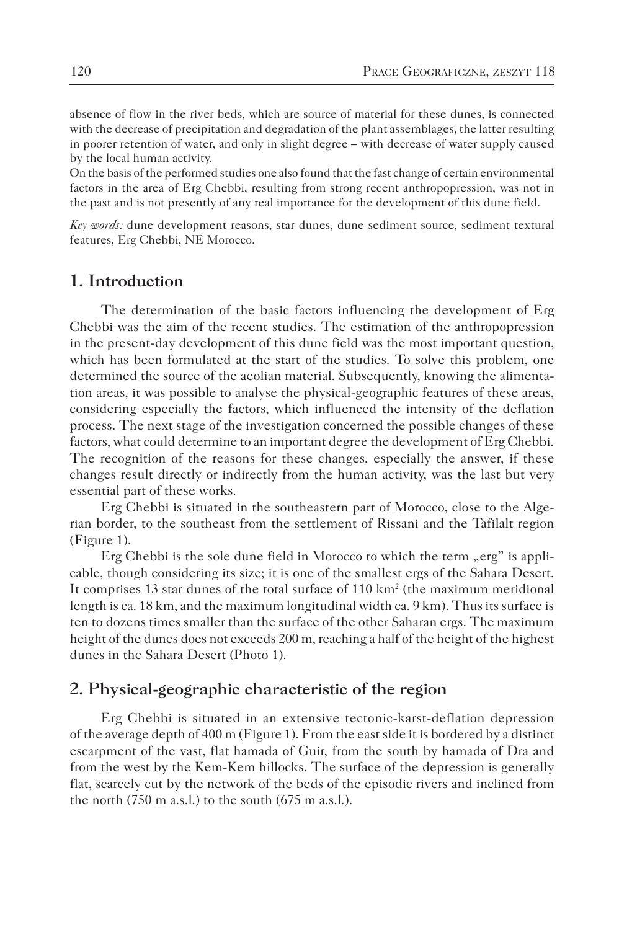absence of flow in the river beds, which are source of material for these dunes, is connected with the decrease of precipitation and degradation of the plant assemblages, the latter resulting in poorer retention of water, and only in slight degree – with decrease of water supply caused by the local human activity.

On the basis of the performed studies one also found that the fast change of certain environmental factors in the area of Erg Chebbi, resulting from strong recent anthropopression, was not in the past and is not presently of any real importance for the development of this dune field.

*Key words:* dune development reasons, star dunes, dune sediment source, sediment textural features, Erg Chebbi, NE Morocco.

# **1. Introduction**

The determination of the basic factors influencing the development of Erg Chebbi was the aim of the recent studies. The estimation of the anthropopression in the present-day development of this dune field was the most important question, which has been formulated at the start of the studies. To solve this problem, one determined the source of the aeolian material. Subsequently, knowing the alimentation areas, it was possible to analyse the physical-geographic features of these areas, considering especially the factors, which influenced the intensity of the deflation process. The next stage of the investigation concerned the possible changes of these factors, what could determine to an important degree the development of Erg Chebbi. The recognition of the reasons for these changes, especially the answer, if these changes result directly or indirectly from the human activity, was the last but very essential part of these works.

Erg Chebbi is situated in the southeastern part of Morocco, close to the Algerian border, to the southeast from the settlement of Rissani and the Tafilalt region (Figure 1).

Erg Chebbi is the sole dune field in Morocco to which the term "erg" is applicable, though considering its size; it is one of the smallest ergs of the Sahara Desert. It comprises 13 star dunes of the total surface of  $110 \text{ km}^2$  (the maximum meridional length is ca. 18 km, and the maximum longitudinal width ca. 9 km). Thus its surface is ten to dozens times smaller than the surface of the other Saharan ergs. The maximum height of the dunes does not exceeds 200 m, reaching a half of the height of the highest dunes in the Sahara Desert (Photo 1).

### **2. Physical-geographic characteristic of the region**

Erg Chebbi is situated in an extensive tectonic-karst-deflation depression of the average depth of 400 m (Figure 1). From the east side it is bordered by a distinct escarpment of the vast, flat hamada of Guir, from the south by hamada of Dra and from the west by the Kem-Kem hillocks. The surface of the depression is generally flat, scarcely cut by the network of the beds of the episodic rivers and inclined from the north (750 m a.s.l.) to the south (675 m a.s.l.).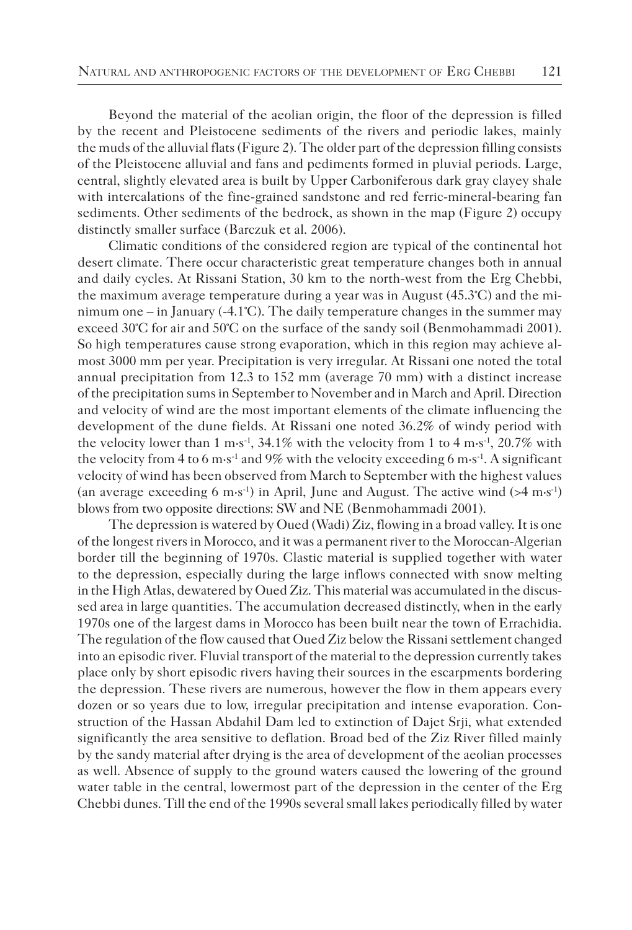Beyond the material of the aeolian origin, the floor of the depression is filled by the recent and Pleistocene sediments of the rivers and periodic lakes, mainly the muds of the alluvial flats (Figure 2). The older part of the depression filling consists of the Pleistocene alluvial and fans and pediments formed in pluvial periods. Large, central, slightly elevated area is built by Upper Carboniferous dark gray clayey shale with intercalations of the fine-grained sandstone and red ferric-mineral-bearing fan sediments. Other sediments of the bedrock, as shown in the map (Figure 2) occupy distinctly smaller surface (Barczuk et al. 2006).

Climatic conditions of the considered region are typical of the continental hot desert climate. There occur characteristic great temperature changes both in annual and daily cycles. At Rissani Station, 30 km to the north-west from the Erg Chebbi, the maximum average temperature during a year was in August (45.3°C) and the minimum one – in January (-4.1°C). The daily temperature changes in the summer may exceed 30°C for air and 50°C on the surface of the sandy soil (Benmohammadi 2001). So high temperatures cause strong evaporation, which in this region may achieve almost 3000 mm per year. Precipitation is very irregular. At Rissani one noted the total annual precipitation from 12.3 to 152 mm (average 70 mm) with a distinct increase of the precipitation sums in September to November and in March and April. Direction and velocity of wind are the most important elements of the climate influencing the development of the dune fields. At Rissani one noted 36.2% of windy period with the velocity lower than  $1 \text{ m} \cdot \text{s}^{-1}$ , 34.1% with the velocity from 1 to 4 m $\text{s}^{-1}$ , 20.7% with the velocity from 4 to 6 m·s<sup>-1</sup> and 9% with the velocity exceeding 6 m·s<sup>-1</sup>. A significant velocity of wind has been observed from March to September with the highest values (an average exceeding 6 m·s<sup>-1</sup>) in April, June and August. The active wind  $($ >4 m·s<sup>-1</sup>) blows from two opposite directions: SW and NE (Benmohammadi 2001).

The depression is watered by Oued (Wadi) Ziz, flowing in a broad valley. It is one of the longest rivers in Morocco, and it was a permanent river to the Moroccan-Algerian border till the beginning of 1970s. Clastic material is supplied together with water to the depression, especially during the large inflows connected with snow melting in the High Atlas, dewatered by Oued Ziz. This material was accumulated in the discussed area in large quantities. The accumulation decreased distinctly, when in the early 1970s one of the largest dams in Morocco has been built near the town of Errachidia. The regulation of the flow caused that Oued Ziz below the Rissani settlement changed into an episodic river. Fluvial transport of the material to the depression currently takes place only by short episodic rivers having their sources in the escarpments bordering the depression. These rivers are numerous, however the flow in them appears every dozen or so years due to low, irregular precipitation and intense evaporation. Construction of the Hassan Abdahil Dam led to extinction of Dajet Srji, what extended significantly the area sensitive to deflation. Broad bed of the Ziz River filled mainly by the sandy material after drying is the area of development of the aeolian processes as well. Absence of supply to the ground waters caused the lowering of the ground water table in the central, lowermost part of the depression in the center of the Erg Chebbi dunes. Till the end of the 1990s several small lakes periodically filled by water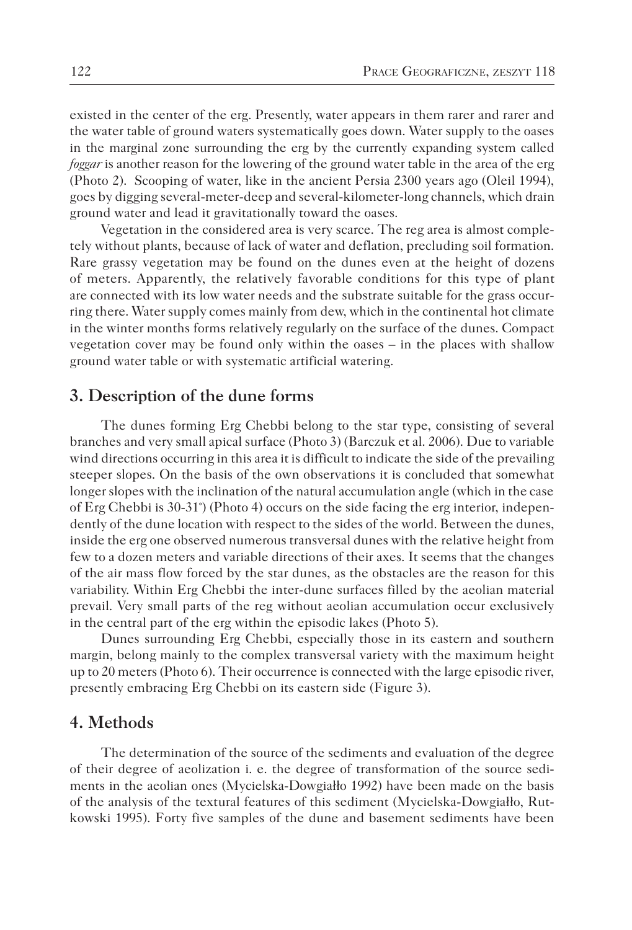existed in the center of the erg. Presently, water appears in them rarer and rarer and the water table of ground waters systematically goes down. Water supply to the oases in the marginal zone surrounding the erg by the currently expanding system called *foggar* is another reason for the lowering of the ground water table in the area of the erg (Photo 2). Scooping of water, like in the ancient Persia 2300 years ago (Oleil 1994), goes by digging several-meter-deep and several-kilometer-long channels, which drain ground water and lead it gravitationally toward the oases.

Vegetation in the considered area is very scarce. The reg area is almost completely without plants, because of lack of water and deflation, precluding soil formation. Rare grassy vegetation may be found on the dunes even at the height of dozens of meters. Apparently, the relatively favorable conditions for this type of plant are connected with its low water needs and the substrate suitable for the grass occurring there. Water supply comes mainly from dew, which in the continental hot climate in the winter months forms relatively regularly on the surface of the dunes. Compact vegetation cover may be found only within the oases – in the places with shallow ground water table or with systematic artificial watering.

### **3. Description of the dune forms**

The dunes forming Erg Chebbi belong to the star type, consisting of several branches and very small apical surface (Photo 3) (Barczuk et al. 2006). Due to variable wind directions occurring in this area it is difficult to indicate the side of the prevailing steeper slopes. On the basis of the own observations it is concluded that somewhat longer slopes with the inclination of the natural accumulation angle (which in the case of Erg Chebbi is 30-31°) (Photo 4) occurs on the side facing the erg interior, independently of the dune location with respect to the sides of the world. Between the dunes, inside the erg one observed numerous transversal dunes with the relative height from few to a dozen meters and variable directions of their axes. It seems that the changes of the air mass flow forced by the star dunes, as the obstacles are the reason for this variability. Within Erg Chebbi the inter-dune surfaces filled by the aeolian material prevail. Very small parts of the reg without aeolian accumulation occur exclusively in the central part of the erg within the episodic lakes (Photo 5).

Dunes surrounding Erg Chebbi, especially those in its eastern and southern margin, belong mainly to the complex transversal variety with the maximum height up to 20 meters (Photo 6). Their occurrence is connected with the large episodic river, presently embracing Erg Chebbi on its eastern side (Figure 3).

# **4. Methods**

The determination of the source of the sediments and evaluation of the degree of their degree of aeolization i. e. the degree of transformation of the source sediments in the aeolian ones (Mycielska-Dowgiałło 1992) have been made on the basis of the analysis of the textural features of this sediment (Mycielska-Dowgiałło, Rutkowski 1995). Forty five samples of the dune and basement sediments have been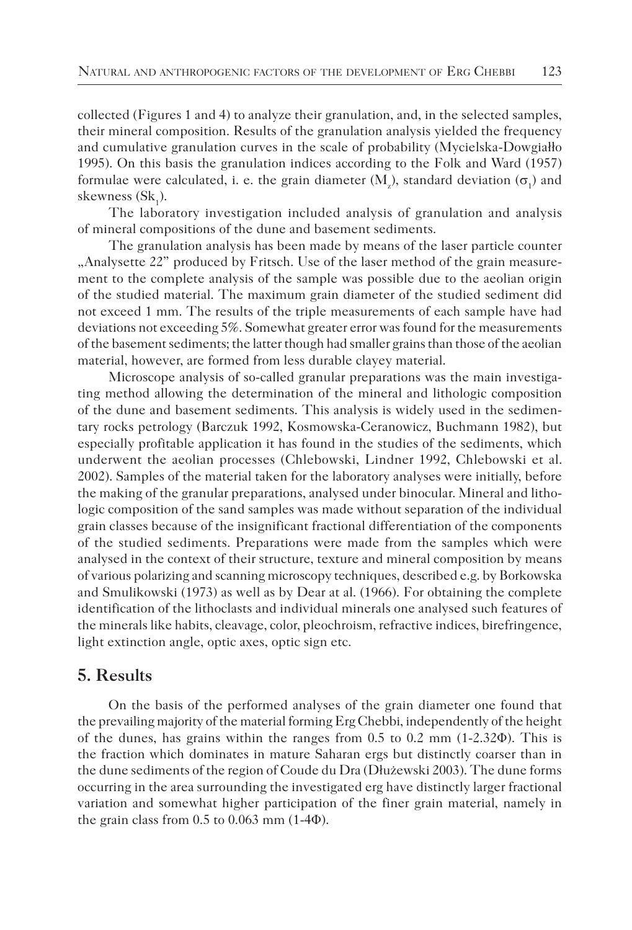collected (Figures 1 and 4) to analyze their granulation, and, in the selected samples, their mineral composition. Results of the granulation analysis yielded the frequency and cumulative granulation curves in the scale of probability (Mycielska-Dowgiałło 1995). On this basis the granulation indices according to the Folk and Ward (1957) formulae were calculated, i. e. the grain diameter  $(M_z)$ , standard deviation  $(\sigma_1)$  and skewness  $(Sk_1)$ .

The laboratory investigation included analysis of granulation and analysis of mineral compositions of the dune and basement sediments.

The granulation analysis has been made by means of the laser particle counter "Analysette 22" produced by Fritsch. Use of the laser method of the grain measurement to the complete analysis of the sample was possible due to the aeolian origin of the studied material. The maximum grain diameter of the studied sediment did not exceed 1 mm. The results of the triple measurements of each sample have had deviations not exceeding 5%. Somewhat greater error was found for the measurements of the basement sediments; the latter though had smaller grains than those of the aeolian material, however, are formed from less durable clayey material.

Microscope analysis of so-called granular preparations was the main investigating method allowing the determination of the mineral and lithologic composition of the dune and basement sediments. This analysis is widely used in the sedimentary rocks petrology (Barczuk 1992, Kosmowska-Ceranowicz, Buchmann 1982), but especially profitable application it has found in the studies of the sediments, which underwent the aeolian processes (Chlebowski, Lindner 1992, Chlebowski et al. 2002). Samples of the material taken for the laboratory analyses were initially, before the making of the granular preparations, analysed under binocular. Mineral and lithologic composition of the sand samples was made without separation of the individual grain classes because of the insignificant fractional differentiation of the components of the studied sediments. Preparations were made from the samples which were analysed in the context of their structure, texture and mineral composition by means of various polarizing and scanning microscopy techniques, described e.g. by Borkowska and Smulikowski (1973) as well as by Dear at al. (1966). For obtaining the complete identification of the lithoclasts and individual minerals one analysed such features of the minerals like habits, cleavage, color, pleochroism, refractive indices, birefringence, light extinction angle, optic axes, optic sign etc.

# **5. Results**

On the basis of the performed analyses of the grain diameter one found that the prevailing majority of the material forming Erg Chebbi, independently of the height of the dunes, has grains within the ranges from 0.5 to 0.2 mm (1-2.32Φ). This is the fraction which dominates in mature Saharan ergs but distinctly coarser than in the dune sediments of the region of Coude du Dra (Dłużewski 2003). The dune forms occurring in the area surrounding the investigated erg have distinctly larger fractional variation and somewhat higher participation of the finer grain material, namely in the grain class from  $0.5$  to  $0.063$  mm  $(1-4<sup>\Phi</sup>)$ .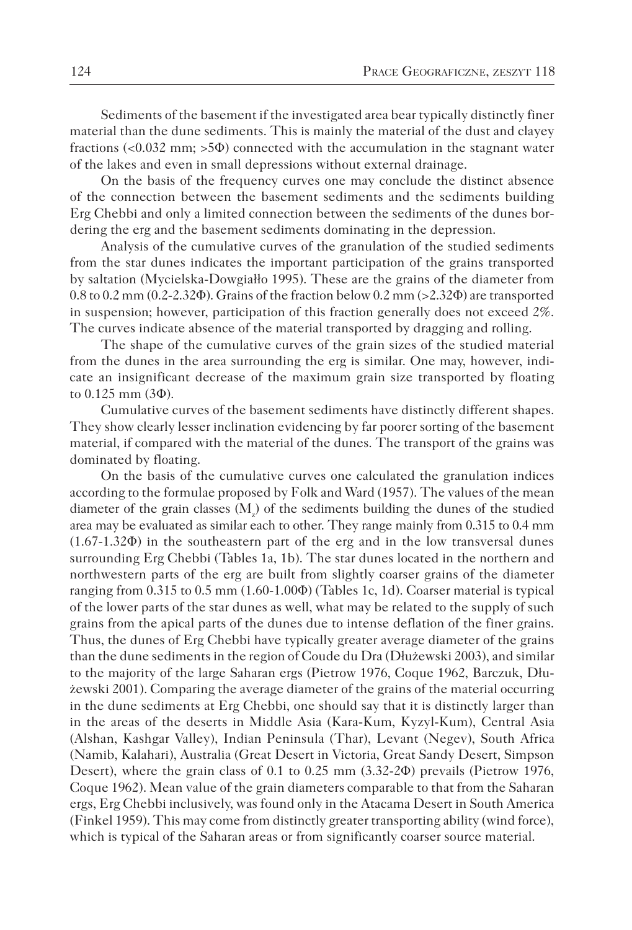Sediments of the basement if the investigated area bear typically distinctly finer material than the dune sediments. This is mainly the material of the dust and clayey fractions  $(<0.032$  mm;  $>5\Phi$ ) connected with the accumulation in the stagnant water of the lakes and even in small depressions without external drainage.

On the basis of the frequency curves one may conclude the distinct absence of the connection between the basement sediments and the sediments building Erg Chebbi and only a limited connection between the sediments of the dunes bordering the erg and the basement sediments dominating in the depression.

Analysis of the cumulative curves of the granulation of the studied sediments from the star dunes indicates the important participation of the grains transported by saltation (Mycielska-Dowgiałło 1995). These are the grains of the diameter from 0.8 to 0.2 mm (0.2-2.32Φ). Grains of the fraction below 0.2 mm (>2.32Φ) are transported in suspension; however, participation of this fraction generally does not exceed 2%. The curves indicate absence of the material transported by dragging and rolling.

The shape of the cumulative curves of the grain sizes of the studied material from the dunes in the area surrounding the erg is similar. One may, however, indicate an insignificant decrease of the maximum grain size transported by floating to 0.125 mm (3Φ).

Cumulative curves of the basement sediments have distinctly different shapes. They show clearly lesser inclination evidencing by far poorer sorting of the basement material, if compared with the material of the dunes. The transport of the grains was dominated by floating.

On the basis of the cumulative curves one calculated the granulation indices according to the formulae proposed by Folk and Ward (1957). The values of the mean diameter of the grain classes  $(M_z)$  of the sediments building the dunes of the studied area may be evaluated as similar each to other. They range mainly from 0.315 to 0.4 mm (1.67-1.32Φ) in the southeastern part of the erg and in the low transversal dunes surrounding Erg Chebbi (Tables 1a, 1b). The star dunes located in the northern and northwestern parts of the erg are built from slightly coarser grains of the diameter ranging from 0.315 to 0.5 mm (1.60-1.00Φ) (Tables 1c, 1d). Coarser material is typical of the lower parts of the star dunes as well, what may be related to the supply of such grains from the apical parts of the dunes due to intense deflation of the finer grains. Thus, the dunes of Erg Chebbi have typically greater average diameter of the grains than the dune sediments in the region of Coude du Dra (Dłużewski 2003), and similar to the majority of the large Saharan ergs (Pietrow 1976, Coque 1962, Barczuk, Dłużewski 2001). Comparing the average diameter of the grains of the material occurring in the dune sediments at Erg Chebbi, one should say that it is distinctly larger than in the areas of the deserts in Middle Asia (Kara-Kum, Kyzyl-Kum), Central Asia (Alshan, Kashgar Valley), Indian Peninsula (Thar), Levant (Negev), South Africa (Namib, Kalahari), Australia (Great Desert in Victoria, Great Sandy Desert, Simpson Desert), where the grain class of 0.1 to 0.25 mm (3.32-2Φ) prevails (Pietrow 1976, Coque 1962). Mean value of the grain diameters comparable to that from the Saharan ergs, Erg Chebbi inclusively, was found only in the Atacama Desert in South America (Finkel 1959). This may come from distinctly greater transporting ability (wind force), which is typical of the Saharan areas or from significantly coarser source material.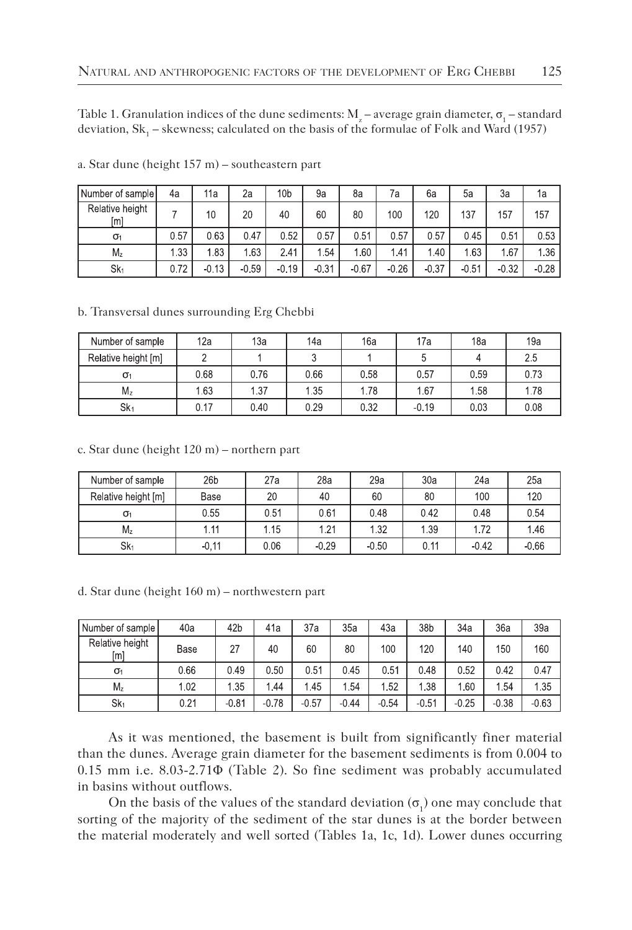Table 1. Granulation indices of the dune sediments:  $M_z$  – average grain diameter,  $\sigma_1$  – standard deviation,  $\text{Sk}_{1}$  – skewness; calculated on the basis of the formulae of Folk and Ward (1957)

| Number of sample       | 4a   | 11a     | 2a      | 10 <sub>b</sub> | 9a      | 8a      | 7a      | 6a      | 5a      | За      | 1a      |
|------------------------|------|---------|---------|-----------------|---------|---------|---------|---------|---------|---------|---------|
| Relative height<br>[m] |      | 10      | 20      | 40              | 60      | 80      | 100     | 120     | 137     | 157     | 157     |
| $\sigma_1$             | 0.57 | 0.63    | 0.47    | 0.52            | 0.57    | 0.51    | 0.57    | 0.57    | 0.45    | 0.51    | 0.53    |
| Mz                     | 1.33 | 1.83    | 1.63    | 2.41            | 1.54    | 1.60    | 1.41    | 1.40    | 1.63    | 1.67    | 1.36    |
| $Sk_1$                 | 0.72 | $-0.13$ | $-0.59$ | $-0.19$         | $-0.31$ | $-0.67$ | $-0.26$ | $-0.37$ | $-0.51$ | $-0.32$ | $-0.28$ |

a. Star dune (height 157 m) – southeastern part

b. Transversal dunes surrounding Erg Chebbi

| Number of sample    | 12a  | 13a  | 14a  | 16a  | 17a     | 18a  | 19a  |
|---------------------|------|------|------|------|---------|------|------|
| Relative height [m] |      |      |      |      |         |      | 2.5  |
| $\sigma_1$          | 0.68 | 0.76 | 0.66 | 0.58 | 0.57    | 0.59 | 0.73 |
| M <sub>z</sub>      | 1.63 | 1.37 | 1.35 | 1.78 | 1.67    | 1.58 | 1.78 |
| Sk <sub>1</sub>     | 0.17 | 0.40 | 0.29 | 0.32 | $-0.19$ | 0.03 | 0.08 |

c. Star dune (height 120 m) – northern part

| Number of sample    | 26 <sub>b</sub> | 27a  | 28a     | 29a     | 30a  | 24a     | 25a     |
|---------------------|-----------------|------|---------|---------|------|---------|---------|
| Relative height [m] | Base            | 20   | 40      | 60      | 80   | 100     | 120     |
| $\sigma_1$          | 0.55            | 0.51 | 0.61    | 0.48    | 0.42 | 0.48    | 0.54    |
| $M_z$               | 1.11            | 1.15 | 1.21    | 1.32    | 1.39 | 1.72    | 1.46    |
| Sk <sub>1</sub>     | $-0.11$         | 0.06 | $-0.29$ | $-0.50$ | 0.11 | $-0.42$ | $-0.66$ |

d. Star dune (height 160 m) – northwestern part

| Number of sample       | 40a  | 42b     | 41a     | 37a     | 35a     | 43а     | 38b     | 34a     | 36a     | 39a     |
|------------------------|------|---------|---------|---------|---------|---------|---------|---------|---------|---------|
| Relative height<br>[m] | Base | 27      | 40      | 60      | 80      | 100     | 120     | 140     | 150     | 160     |
| $\sigma_1$             | 0.66 | 049     | 0.50    | 0.51    | 0.45    | 0.51    | 0.48    | 0.52    | 0.42    | 0.47    |
| $M_z$                  | 1.02 | 1.35    | 1.44    | 1.45    | 1.54    | 1.52    | 1 38    | 1.60    | 1.54    | 1.35    |
| Sk <sub>1</sub>        | 0.21 | $-0.81$ | $-0.78$ | $-0.57$ | $-0.44$ | $-0.54$ | $-0.51$ | $-0.25$ | $-0.38$ | $-0.63$ |

As it was mentioned, the basement is built from significantly finer material than the dunes. Average grain diameter for the basement sediments is from 0.004 to 0.15 mm i.e. 8.03-2.71Φ (Table 2). So fine sediment was probably accumulated in basins without outflows.

On the basis of the values of the standard deviation  $(\sigma_1)$  one may conclude that sorting of the majority of the sediment of the star dunes is at the border between the material moderately and well sorted (Tables 1a, 1c, 1d). Lower dunes occurring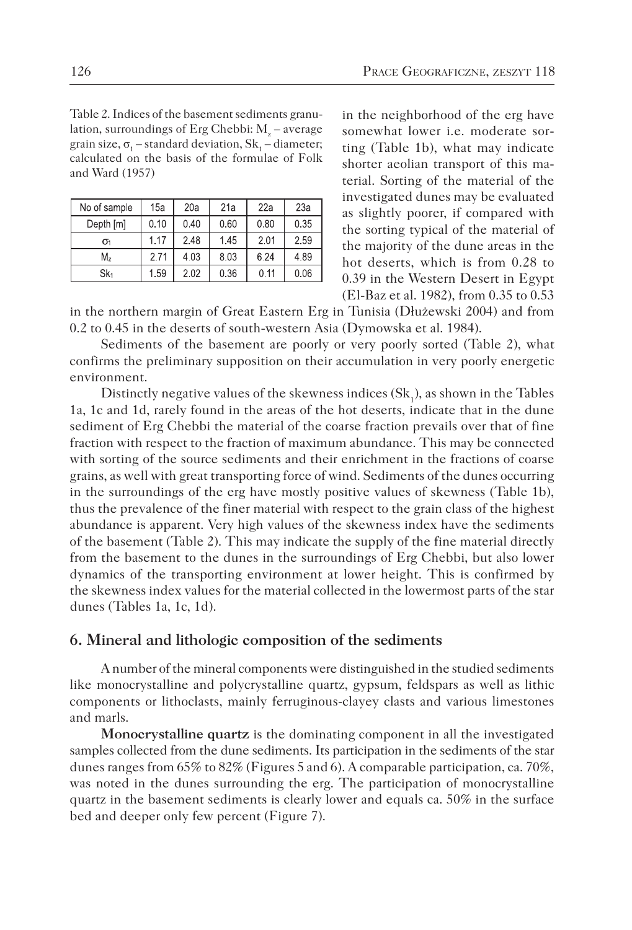Table 2. Indices of the basement sediments granulation, surroundings of Erg Chebbi:  $M_{\rm z}$  – average grain size,  $\sigma_1$  – standard deviation,  $\text{Sk}_1$  – diameter; calculated on the basis of the formulae of Folk and Ward (1957)

| No of sample | 15a  | 20a  | 21a  | 22a  | 23a  |
|--------------|------|------|------|------|------|
| Depth [m]    | 0.10 | 0.40 | 0.60 | 0.80 | 0.35 |
| $\sigma_1$   | 1.17 | 2.48 | 1.45 | 201  | 2.59 |
| M,           | 2.71 | 4.03 | 8.03 | 6.24 | 4.89 |
| $Sk_1$       | 1.59 | 2.02 | 0.36 | 0.11 | 0.06 |

in the neighborhood of the erg have somewhat lower i.e. moderate sorting (Table 1b), what may indicate shorter aeolian transport of this material. Sorting of the material of the investigated dunes may be evaluated as slightly poorer, if compared with the sorting typical of the material of the majority of the dune areas in the hot deserts, which is from 0.28 to 0.39 in the Western Desert in Egypt (El-Baz et al. 1982), from 0.35 to 0.53

in the northern margin of Great Eastern Erg in Tunisia (Dłużewski 2004) and from 0.2 to 0.45 in the deserts of south-western Asia (Dymowska et al. 1984).

Sediments of the basement are poorly or very poorly sorted (Table 2), what confirms the preliminary supposition on their accumulation in very poorly energetic environment.

Distinctly negative values of the skewness indices  $(\mathrm{Sk}_1)$ , as shown in the Tables 1a, 1c and 1d, rarely found in the areas of the hot deserts, indicate that in the dune sediment of Erg Chebbi the material of the coarse fraction prevails over that of fine fraction with respect to the fraction of maximum abundance. This may be connected with sorting of the source sediments and their enrichment in the fractions of coarse grains, as well with great transporting force of wind. Sediments of the dunes occurring in the surroundings of the erg have mostly positive values of skewness (Table 1b), thus the prevalence of the finer material with respect to the grain class of the highest abundance is apparent. Very high values of the skewness index have the sediments of the basement (Table 2). This may indicate the supply of the fine material directly from the basement to the dunes in the surroundings of Erg Chebbi, but also lower dynamics of the transporting environment at lower height. This is confirmed by the skewness index values for the material collected in the lowermost parts of the star dunes (Tables 1a, 1c, 1d).

### **6. Mineral and lithologic composition of the sediments**

A number of the mineral components were distinguished in the studied sediments like monocrystalline and polycrystalline quartz, gypsum, feldspars as well as lithic components or lithoclasts, mainly ferruginous-clayey clasts and various limestones and marls.

**Monocrystalline quartz** is the dominating component in all the investigated samples collected from the dune sediments. Its participation in the sediments of the star dunes ranges from 65% to 82% (Figures 5 and 6). A comparable participation, ca. 70%, was noted in the dunes surrounding the erg. The participation of monocrystalline quartz in the basement sediments is clearly lower and equals ca. 50% in the surface bed and deeper only few percent (Figure 7).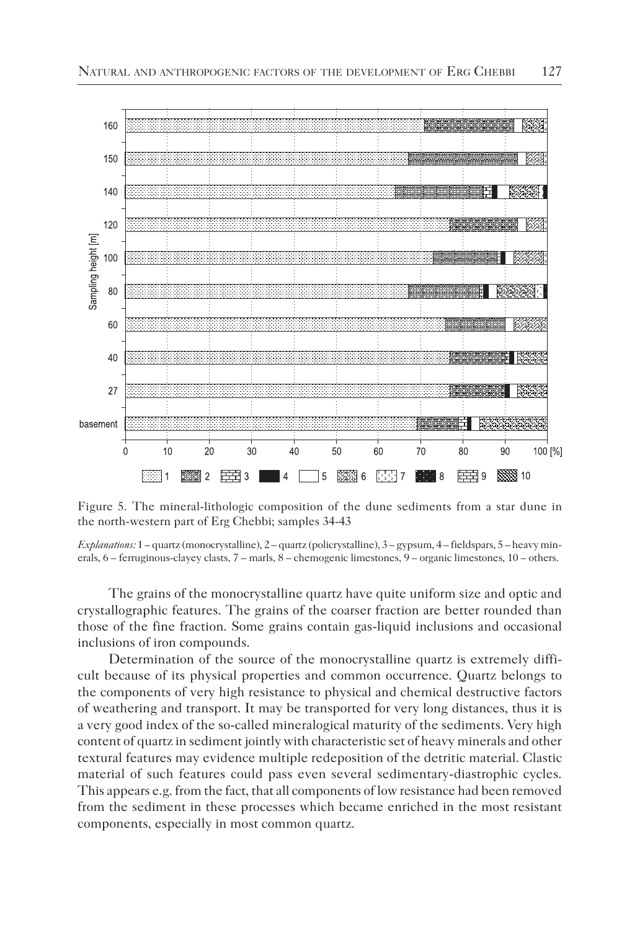

Figure 5. The mineral-lithologic composition of the dune sediments from a star dune in the north-western part of Erg Chebbi; samples 34-43

*Explanations:* 1 – quartz (monocrystalline), 2 – quartz (policrystalline), 3 – gypsum, 4 – fieldspars, 5 – heavy minerals, 6 – ferruginous-clayey clasts, 7 – marls, 8 – chemogenic limestones, 9 – organic limestones, 10 – others.

The grains of the monocrystalline quartz have quite uniform size and optic and crystallographic features. The grains of the coarser fraction are better rounded than those of the fine fraction. Some grains contain gas-liquid inclusions and occasional inclusions of iron compounds.

Determination of the source of the monocrystalline quartz is extremely difficult because of its physical properties and common occurrence. Quartz belongs to the components of very high resistance to physical and chemical destructive factors of weathering and transport. It may be transported for very long distances, thus it is a very good index of the so-called mineralogical maturity of the sediments. Very high content of quartz in sediment jointly with characteristic set of heavy minerals and other textural features may evidence multiple redeposition of the detritic material. Clastic material of such features could pass even several sedimentary-diastrophic cycles. This appears e.g. from the fact, that all components of low resistance had been removed from the sediment in these processes which became enriched in the most resistant components, especially in most common quartz.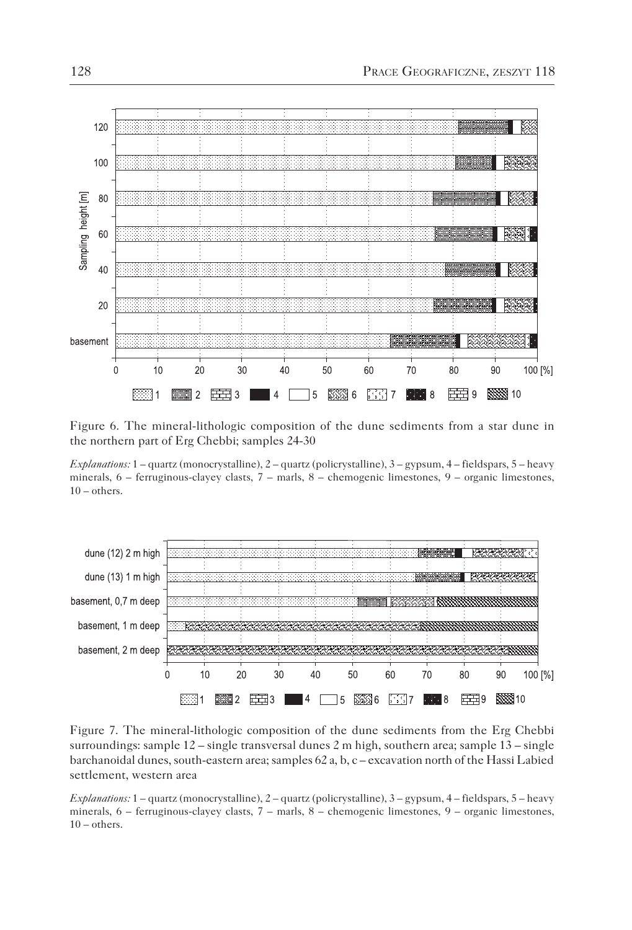

Figure 6. The mineral-lithologic composition of the dune sediments from a star dune in the northern part of Erg Chebbi; samples 24-30

*Explanations:* 1 – quartz (monocrystalline), 2 – quartz (policrystalline), 3 – gypsum, 4 – fieldspars, 5 – heavy minerals, 6 – ferruginous-clayey clasts, 7 – marls, 8 – chemogenic limestones, 9 – organic limestones,  $10$  – others.



Figure 7. The mineral-lithologic composition of the dune sediments from the Erg Chebbi surroundings: sample 12 – single transversal dunes 2 m high, southern area; sample 13 – single barchanoidal dunes, south-eastern area; samples 62 a, b, c – excavation north of the Hassi Labied settlement, western area

*Explanations:* 1 – quartz (monocrystalline), 2 – quartz (policrystalline), 3 – gypsum, 4 – fieldspars, 5 – heavy minerals, 6 – ferruginous-clayey clasts, 7 – marls, 8 – chemogenic limestones, 9 – organic limestones,  $10$  – others.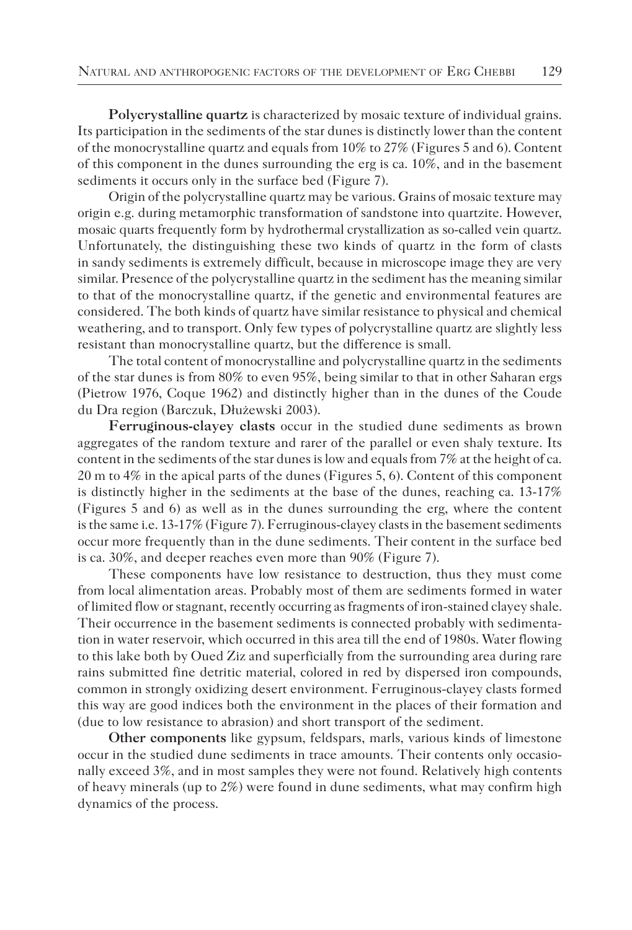**Polycrystalline quartz** is characterized by mosaic texture of individual grains. Its participation in the sediments of the star dunes is distinctly lower than the content of the monocrystalline quartz and equals from  $10\%$  to  $27\%$  (Figures 5 and 6). Content of this component in the dunes surrounding the erg is ca. 10%, and in the basement sediments it occurs only in the surface bed (Figure 7).

Origin of the polycrystalline quartz may be various. Grains of mosaic texture may origin e.g. during metamorphic transformation of sandstone into quartzite. However, mosaic quarts frequently form by hydrothermal crystallization as so-called vein quartz. Unfortunately, the distinguishing these two kinds of quartz in the form of clasts in sandy sediments is extremely difficult, because in microscope image they are very similar. Presence of the polycrystalline quartz in the sediment has the meaning similar to that of the monocrystalline quartz, if the genetic and environmental features are considered. The both kinds of quartz have similar resistance to physical and chemical weathering, and to transport. Only few types of polycrystalline quartz are slightly less resistant than monocrystalline quartz, but the difference is small.

The total content of monocrystalline and polycrystalline quartz in the sediments of the star dunes is from 80% to even 95%, being similar to that in other Saharan ergs (Pietrow 1976, Coque 1962) and distinctly higher than in the dunes of the Coude du Dra region (Barczuk, Dłużewski 2003).

**Ferruginous-clayey clasts** occur in the studied dune sediments as brown aggregates of the random texture and rarer of the parallel or even shaly texture. Its content in the sediments of the star dunes is low and equals from 7% at the height of ca. 20 m to 4% in the apical parts of the dunes (Figures 5, 6). Content of this component is distinctly higher in the sediments at the base of the dunes, reaching ca. 13-17% (Figures 5 and 6) as well as in the dunes surrounding the erg, where the content is the same i.e. 13-17% (Figure 7). Ferruginous-clayey clasts in the basement sediments occur more frequently than in the dune sediments. Their content in the surface bed is ca. 30%, and deeper reaches even more than 90% (Figure 7).

These components have low resistance to destruction, thus they must come from local alimentation areas. Probably most of them are sediments formed in water of limited flow or stagnant, recently occurring as fragments of iron-stained clayey shale. Their occurrence in the basement sediments is connected probably with sedimentation in water reservoir, which occurred in this area till the end of 1980s. Water flowing to this lake both by Oued Ziz and superficially from the surrounding area during rare rains submitted fine detritic material, colored in red by dispersed iron compounds, common in strongly oxidizing desert environment. Ferruginous-clayey clasts formed this way are good indices both the environment in the places of their formation and (due to low resistance to abrasion) and short transport of the sediment.

**Other components** like gypsum, feldspars, marls, various kinds of limestone occur in the studied dune sediments in trace amounts. Their contents only occasionally exceed 3%, and in most samples they were not found. Relatively high contents of heavy minerals (up to 2%) were found in dune sediments, what may confirm high dynamics of the process.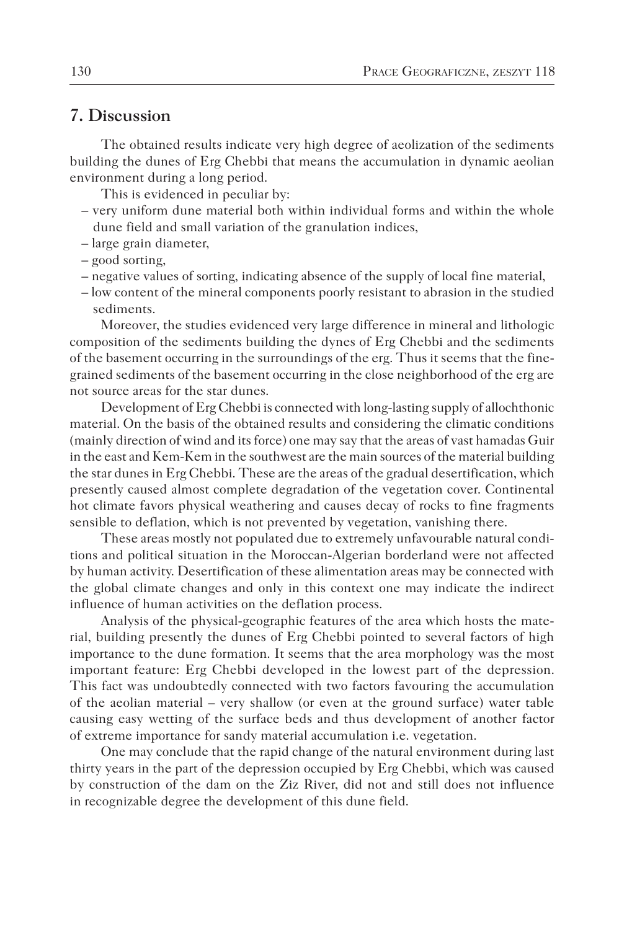# **7. Discussion**

The obtained results indicate very high degree of aeolization of the sediments building the dunes of Erg Chebbi that means the accumulation in dynamic aeolian environment during a long period.

This is evidenced in peculiar by:

- very uniform dune material both within individual forms and within the whole dune field and small variation of the granulation indices,
- large grain diameter,
- good sorting,
- negative values of sorting, indicating absence of the supply of local fine material,
- low content of the mineral components poorly resistant to abrasion in the studied sediments.

Moreover, the studies evidenced very large difference in mineral and lithologic composition of the sediments building the dynes of Erg Chebbi and the sediments of the basement occurring in the surroundings of the erg. Thus it seems that the finegrained sediments of the basement occurring in the close neighborhood of the erg are not source areas for the star dunes.

Development of Erg Chebbi is connected with long-lasting supply of allochthonic material. On the basis of the obtained results and considering the climatic conditions (mainly direction of wind and its force) one may say that the areas of vast hamadas Guir in the east and Kem-Kem in the southwest are the main sources of the material building the star dunes in Erg Chebbi. These are the areas of the gradual desertification, which presently caused almost complete degradation of the vegetation cover. Continental hot climate favors physical weathering and causes decay of rocks to fine fragments sensible to deflation, which is not prevented by vegetation, vanishing there.

These areas mostly not populated due to extremely unfavourable natural conditions and political situation in the Moroccan-Algerian borderland were not affected by human activity. Desertification of these alimentation areas may be connected with the global climate changes and only in this context one may indicate the indirect influence of human activities on the deflation process.

Analysis of the physical-geographic features of the area which hosts the material, building presently the dunes of Erg Chebbi pointed to several factors of high importance to the dune formation. It seems that the area morphology was the most important feature: Erg Chebbi developed in the lowest part of the depression. This fact was undoubtedly connected with two factors favouring the accumulation of the aeolian material – very shallow (or even at the ground surface) water table causing easy wetting of the surface beds and thus development of another factor of extreme importance for sandy material accumulation i.e. vegetation.

One may conclude that the rapid change of the natural environment during last thirty years in the part of the depression occupied by Erg Chebbi, which was caused by construction of the dam on the Ziz River, did not and still does not influence in recognizable degree the development of this dune field.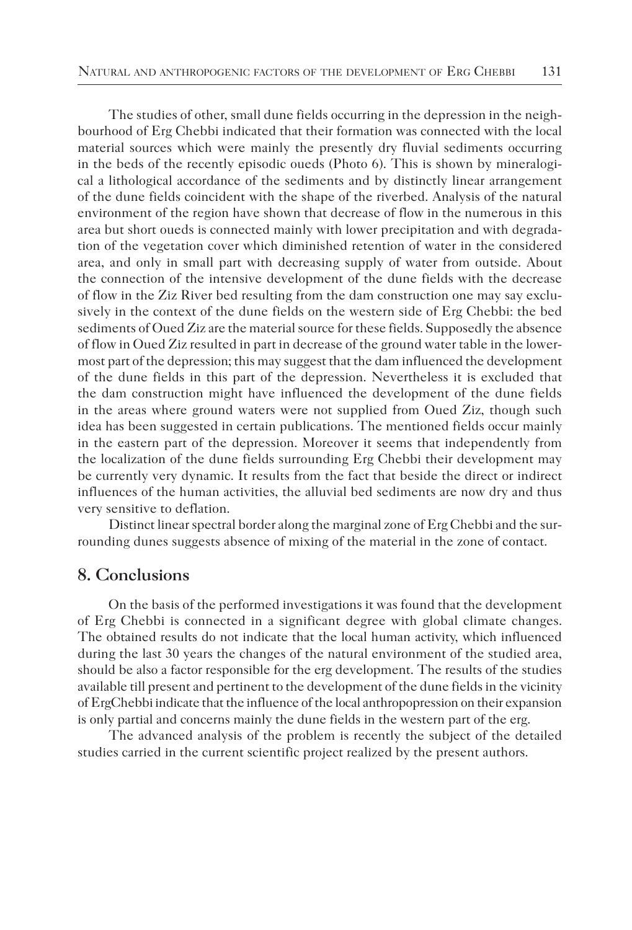The studies of other, small dune fields occurring in the depression in the neighbourhood of Erg Chebbi indicated that their formation was connected with the local material sources which were mainly the presently dry fluvial sediments occurring in the beds of the recently episodic oueds (Photo 6). This is shown by mineralogical a lithological accordance of the sediments and by distinctly linear arrangement of the dune fields coincident with the shape of the riverbed. Analysis of the natural environment of the region have shown that decrease of flow in the numerous in this area but short oueds is connected mainly with lower precipitation and with degradation of the vegetation cover which diminished retention of water in the considered area, and only in small part with decreasing supply of water from outside. About the connection of the intensive development of the dune fields with the decrease of flow in the Ziz River bed resulting from the dam construction one may say exclusively in the context of the dune fields on the western side of Erg Chebbi: the bed sediments of Oued Ziz are the material source for these fields. Supposedly the absence of flow in Oued Ziz resulted in part in decrease of the ground water table in the lowermost part of the depression; this may suggest that the dam influenced the development of the dune fields in this part of the depression. Nevertheless it is excluded that the dam construction might have influenced the development of the dune fields in the areas where ground waters were not supplied from Oued Ziz, though such idea has been suggested in certain publications. The mentioned fields occur mainly in the eastern part of the depression. Moreover it seems that independently from the localization of the dune fields surrounding Erg Chebbi their development may be currently very dynamic. It results from the fact that beside the direct or indirect influences of the human activities, the alluvial bed sediments are now dry and thus very sensitive to deflation.

Distinct linear spectral border along the marginal zone of Erg Chebbi and the surrounding dunes suggests absence of mixing of the material in the zone of contact.

## **8. Conclusions**

On the basis of the performed investigations it was found that the development of Erg Chebbi is connected in a significant degree with global climate changes. The obtained results do not indicate that the local human activity, which influenced during the last 30 years the changes of the natural environment of the studied area, should be also a factor responsible for the erg development. The results of the studies available till present and pertinent to the development of the dune fields in the vicinity of ErgChebbi indicate that the influence of the local anthropopression on their expansion is only partial and concerns mainly the dune fields in the western part of the erg.

The advanced analysis of the problem is recently the subject of the detailed studies carried in the current scientific project realized by the present authors.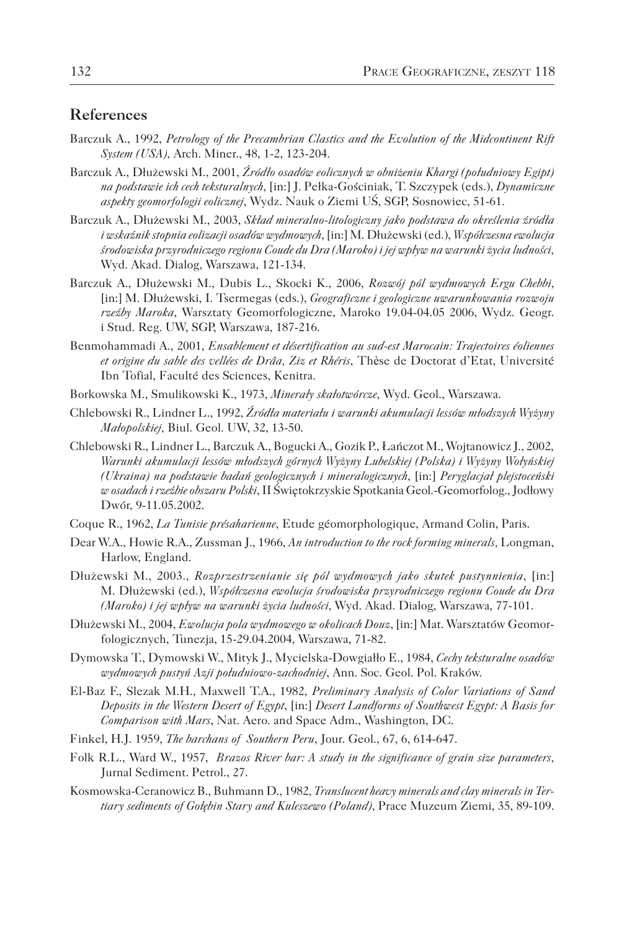# **References**

- Barczuk A., 1992, *Petrology of the Precambrian Clastics and the Evolution of the Midcontinent Rift System (USA),* Arch. Miner., 48, 1-2, 123-204.
- Barczuk A., Dłużewski M., 2001, *Źródło osadów eolicznych w obniżeniu Khargi (południowy Egipt) na podstawie ich cech teksturalnych*, [in:] J. Pełka-Gościniak, T. Szczypek (eds.), *Dynamiczne aspekty geomorfologii eolicznej*, Wydz. Nauk o Ziemi UŚ, SGP, Sosnowiec, 51-61.
- Barczuk A., Dłużewski M., 2003, *Skład mineralno-litologiczny jako podstawa do określenia źródła i wskaźnik stopnia eolizacji osadów wydmowych*, [in:] M. Dłużewski (ed.), *Współczesna ewolucja środowiska przyrodniczego regionu Coude du Dra (Maroko) i jej wpływ na warunki życia ludności,* Wyd. Akad. Dialog, Warszawa, 121-134.
- Barczuk A., Dłużewski M., Dubis L., Skocki K., 2006, *Rozwój pól wydmowych Ergu Chebbi,*  [in:] M. Dłużewski, I. Tsermegas (eds.), *Geograficzne i geologiczne uwarunkowania rozwoju rzeźby Maroka*, Warsztaty Geomorfologiczne, Maroko 19.04-04.05 2006, Wydz. Geogr. i Stud. Reg. UW, SGP, Warszawa, 187-216.
- Benmohammadi A., 2001, *Ensablement et désertification au sud-est Marocain: Trajectoires éoliennes et origine du sable des vellées de Drâa, Ziz et Rhéris*, Thèse de Doctorat d'Etat, Université Ibn Tofial, Faculté des Sciences, Kenitra.
- Borkowska M., Smulikowski K., 1973, *Minerały skałotwórcze,* Wyd. Geol., Warszawa.
- Chlebowski R., Lindner L., 1992, *Źródła materiału i warunki akumulacji lessów młodszych Wyżyny Małopolskiej,* Biul. Geol. UW, 32, 13-50.
- Chlebowski R., Lindner L., Barczuk A., Bogucki A., Gozik P., Łańczot M., Wojtanowicz J., 2002, *Warunki akumulacji lessów młodszych górnych Wyżyny Lubelskiej (Polska) i Wyżyny Wołyńskiej (Ukraina) na podstawie badań geologicznych i mineralogicznych*, [in:] *Peryglacjał plejstoceński w osadach i rzeźbie obszaru Polski*, II Świętokrzyskie Spotkania Geol.-Geomorfolog., Jodłowy Dwór, 9-11.05.2002.
- Coque R., 1962, *La Tunisie présaharienne*, Etude géomorphologique, Armand Colin, Paris.
- Dear W.A., Howie R.A., Zussman J., 1966, *An introduction to the rock forming minerals,* Longman, Harlow, England.
- Dłużewski M., 2003., *Rozprzestrzenianie się pól wydmowych jako skutek pustynnienia*, [in:] M. Dłużewski (ed.), *Współczesna ewolucja środowiska przyrodniczego regionu Coude du Dra (Maroko) i jej wpływ na warunki życia ludności*, Wyd. Akad. Dialog, Warszawa, 77-101.
- Dłużewski M., 2004, *Ewolucja pola wydmowego w okolicach Douz*, [in:] Mat. Warsztatów Geomorfologicznych, Tunezja, 15-29.04.2004, Warszawa, 71-82.
- Dymowska T., Dymowski W., Mityk J., Mycielska-Dowgiałło E., 1984, *Cechy teksturalne osadów wydmowych pustyń Azji południowo-zachodniej*, Ann. Soc. Geol. Pol. Kraków.
- El-Baz F., Slezak M.H., Maxwell T.A., 1982, *Preliminary Analysis of Color Variations of Sand Deposits in the Western Desert of Egypt*, [in:] *Desert Landforms of Southwest Egypt: A Basis for Comparison with Mars*, Nat. Aero. and Space Adm., Washington, DC.
- Finkel, H.J. 1959, *The barchans of Southern Peru*, Jour. Geol., 67, 6, 614-647.
- Folk R.L., Ward W., 1957, *Brazos River bar: A study in the significance of grain size parameters,* Jurnal Sediment. Petrol., 27.
- Kosmowska-Ceranowicz B., Buhmann D., 1982, *Translucent heavy minerals and clay minerals in Tertiary sediments of Gołębin Stary and Kuleszewo (Poland)*, Prace Muzeum Ziemi, 35, 89-109.